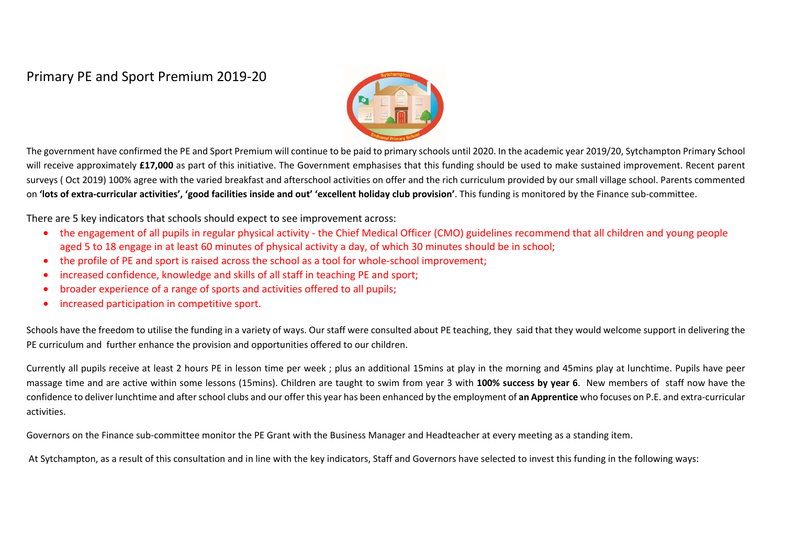# Primary PE and Sport Premium 2019-20



The government have confirmed the PE and Sport Premium will continue to be paid to primary schools until 2020. In the academic year 2019/20, Sytchampton Primary School will receive approximately £17,000 as part of this initiative. The Government emphasises that this funding should be used to make sustained improvement. Recent parent surveys ( Oct 2019) 100% agree with the varied breakfast and afterschool activities on offer and the rich curriculum provided by our small village school. Parents commented on **'lots of extra-curricular activities', 'good facilities inside and out' 'excellent holiday club provision'**. This funding is monitored by the Finance sub-committee.

There are 5 key indicators that schools should expect to see improvement across:

- the engagement of all pupils in regular physical activity the Chief Medical Officer (CMO) guidelines recommend that all children and young people aged 5 to 18 engage in at least 60 minutes of physical activity a day, of which 30 minutes should be in school;
- •the profile of PE and sport is raised across the school as a tool for whole-school improvement;
- •increased confidence, knowledge and skills of all staff in teaching PE and sport;
- •broader experience of a range of sports and activities offered to all pupils;
- •increased participation in competitive sport.

Schools have the freedom to utilise the funding in a variety of ways. Our staff were consulted about PE teaching, they said that they would welcome support in delivering the PE curriculum and further enhance the provision and opportunities offered to our children.

Currently all pupils receive at least 2 hours PE in lesson time per week ; plus an additional 15mins at play in the morning and 45mins play at lunchtime. Pupils have peer massage time and are active within some lessons (15mins). Children are taught to swim from year 3 with **100% success by year 6**. New members of staff now have the confidence to deliver lunchtime and after school clubs and our offer this year has been enhanced by the employment of **an Apprentice** who focuses on P.E. and extra-curricular activities.

Governors on the Finance sub-committee monitor the PE Grant with the Business Manager and Headteacher at every meeting as a standing item.

At Sytchampton, as a result of this consultation and in line with the key indicators, Staff and Governors have selected to invest this funding in the following ways: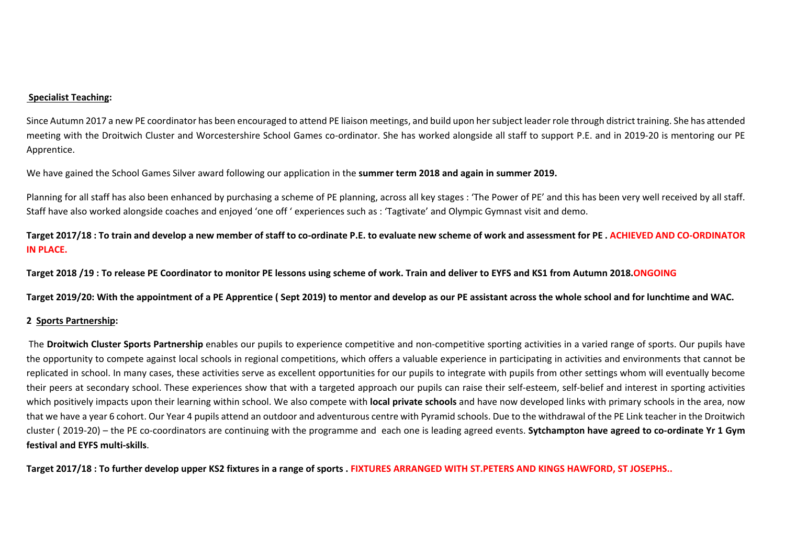#### **Specialist Teaching:**

Since Autumn 2017 a new PE coordinator has been encouraged to attend PE liaison meetings, and build upon her subject leader role through district training. She has attended meeting with the Droitwich Cluster and Worcestershire School Games co-ordinator. She has worked alongside all staff to support P.E. and in 2019-20 is mentoring our PE Apprentice.

We have gained the School Games Silver award following our application in the **summer term 2018 and again in summer 2019.** 

Planning for all staff has also been enhanced by purchasing a scheme of PE planning, across all key stages : 'The Power of PE' and this has been very well received by all staff. Staff have also worked alongside coaches and enjoyed 'one off ' experiences such as : 'Tagtivate' and Olympic Gymnast visit and demo.

**Target 2017/18 : To train and develop a new member of staff to co-ordinate P.E. to evaluate new scheme of work and assessment for PE . ACHIEVED AND CO-ORDINATOR IN PLACE.** 

**Target 2018 /19 : To release PE Coordinator to monitor PE lessons using scheme of work. Train and deliver to EYFS and KS1 from Autumn 2018.ONGOING** 

**Target 2019/20: With the appointment of a PE Apprentice ( Sept 2019) to mentor and develop as our PE assistant across the whole school and for lunchtime and WAC.** 

#### **2 Sports Partnership:**

 The **Droitwich Cluster Sports Partnership** enables our pupils to experience competitive and non-competitive sporting activities in a varied range of sports. Our pupils have the opportunity to compete against local schools in regional competitions, which offers a valuable experience in participating in activities and environments that cannot be replicated in school. In many cases, these activities serve as excellent opportunities for our pupils to integrate with pupils from other settings whom will eventually become their peers at secondary school. These experiences show that with a targeted approach our pupils can raise their self-esteem, self-belief and interest in sporting activities which positively impacts upon their learning within school. We also compete with **local private schools** and have now developed links with primary schools in the area, now that we have a year 6 cohort. Our Year 4 pupils attend an outdoor and adventurous centre with Pyramid schools. Due to the withdrawal of the PE Link teacher in the Droitwich cluster ( 2019-20) – the PE co-coordinators are continuing with the programme and each one is leading agreed events. **Sytchampton have agreed to co-ordinate Yr 1 Gym festival and EYFS multi-skills**.

**Target 2017/18 : To further develop upper KS2 fixtures in a range of sports . FIXTURES ARRANGED WITH ST.PETERS AND KINGS HAWFORD, ST JOSEPHS..**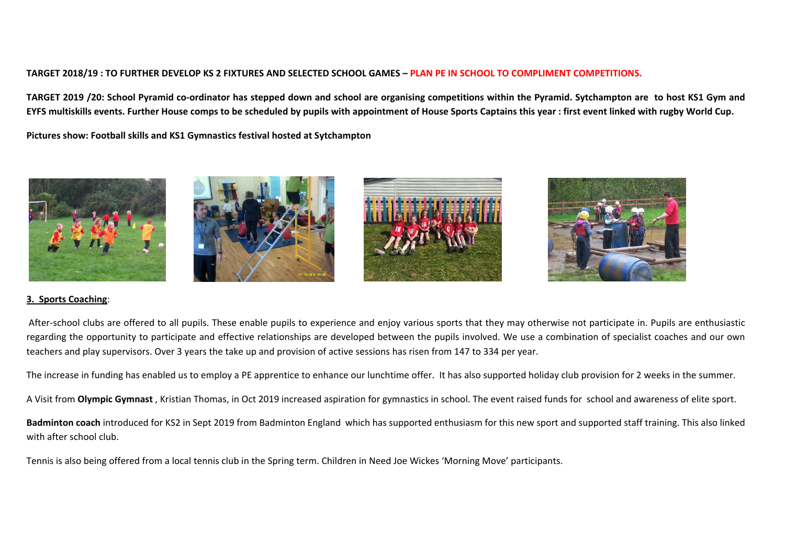## **TARGET 2018/19 : TO FURTHER DEVELOP KS 2 FIXTURES AND SELECTED SCHOOL GAMES – PLAN PE IN SCHOOL TO COMPLIMENT COMPETITIONS.**

**TARGET 2019 /20: School Pyramid co-ordinator has stepped down and school are organising competitions within the Pyramid. Sytchampton are to host KS1 Gym and EYFS multiskills events. Further House comps to be scheduled by pupils with appointment of House Sports Captains this year : first event linked with rugby World Cup.** 

**Pictures show: Football skills and KS1 Gymnastics festival hosted at Sytchampton** 









### **3. Sports Coaching**:

 After-school clubs are offered to all pupils. These enable pupils to experience and enjoy various sports that they may otherwise not participate in. Pupils are enthusiastic regarding the opportunity to participate and effective relationships are developed between the pupils involved. We use a combination of specialist coaches and our own teachers and play supervisors. Over 3 years the take up and provision of active sessions has risen from 147 to 334 per year.

The increase in funding has enabled us to employ a PE apprentice to enhance our lunchtime offer. It has also supported holiday club provision for 2 weeks in the summer.

A Visit from **Olympic Gymnast** , Kristian Thomas, in Oct 2019 increased aspiration for gymnastics in school. The event raised funds for school and awareness of elite sport.

**Badminton coach** introduced for KS2 in Sept 2019 from Badminton England which has supported enthusiasm for this new sport and supported staff training. This also linked with after school club.

Tennis is also being offered from a local tennis club in the Spring term. Children in Need Joe Wickes 'Morning Move' participants.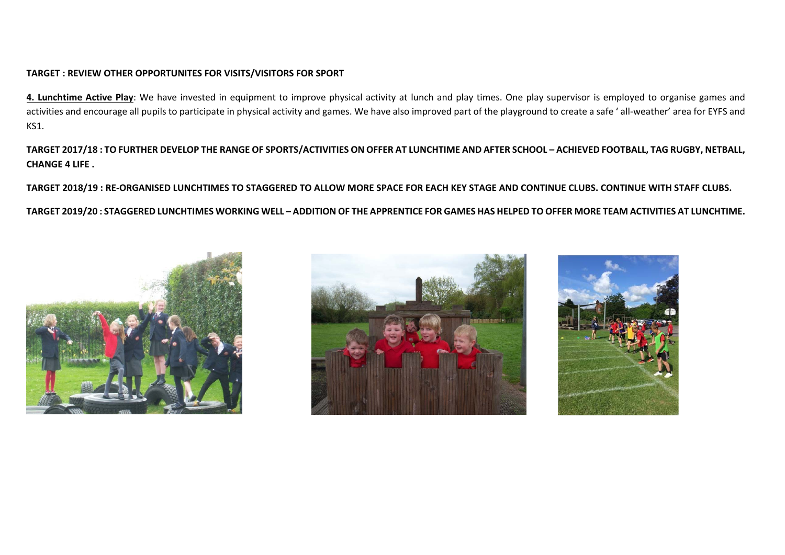#### **TARGET : REVIEW OTHER OPPORTUNITES FOR VISITS/VISITORS FOR SPORT**

**4. Lunchtime Active Play**: We have invested in equipment to improve physical activity at lunch and play times. One play supervisor is employed to organise games and activities and encourage all pupils to participate in physical activity and games. We have also improved part of the playground to create a safe ' all-weather' area for EYFS and KS1.

**TARGET 2017/18 : TO FURTHER DEVELOP THE RANGE OF SPORTS/ACTIVITIES ON OFFER AT LUNCHTIME AND AFTER SCHOOL – ACHIEVED FOOTBALL, TAG RUGBY, NETBALL, CHANGE 4 LIFE .** 

**TARGET 2018/19 : RE-ORGANISED LUNCHTIMES TO STAGGERED TO ALLOW MORE SPACE FOR EACH KEY STAGE AND CONTINUE CLUBS. CONTINUE WITH STAFF CLUBS.** 

**TARGET 2019/20 : STAGGERED LUNCHTIMES WORKING WELL – ADDITION OF THE APPRENTICE FOR GAMES HAS HELPED TO OFFER MORE TEAM ACTIVITIES AT LUNCHTIME.** 





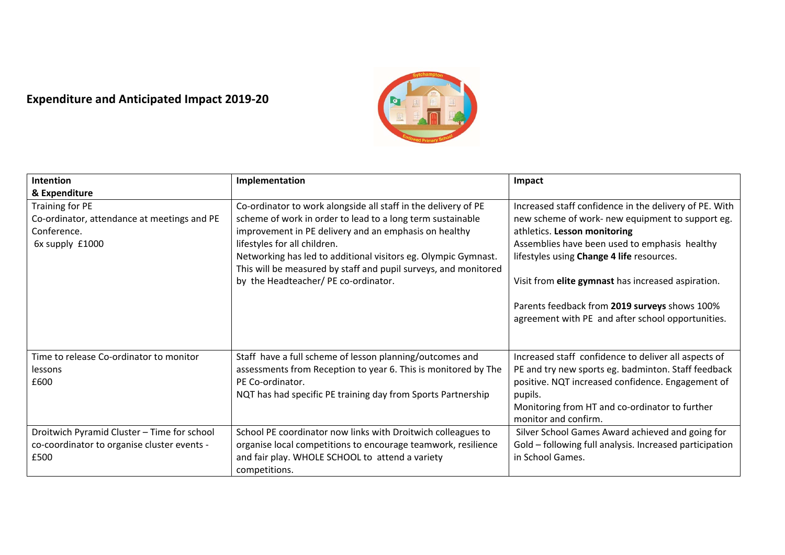# **Expenditure and Anticipated Impact 2019-20**



| Intention                                                                                          | Implementation                                                                                                                                                                                                                                                                                                                                                                                     | Impact                                                                                                                                                                                                                                                                                                                                                                                               |
|----------------------------------------------------------------------------------------------------|----------------------------------------------------------------------------------------------------------------------------------------------------------------------------------------------------------------------------------------------------------------------------------------------------------------------------------------------------------------------------------------------------|------------------------------------------------------------------------------------------------------------------------------------------------------------------------------------------------------------------------------------------------------------------------------------------------------------------------------------------------------------------------------------------------------|
| & Expenditure                                                                                      |                                                                                                                                                                                                                                                                                                                                                                                                    |                                                                                                                                                                                                                                                                                                                                                                                                      |
| Training for PE<br>Co-ordinator, attendance at meetings and PE<br>Conference.<br>6x supply £1000   | Co-ordinator to work alongside all staff in the delivery of PE<br>scheme of work in order to lead to a long term sustainable<br>improvement in PE delivery and an emphasis on healthy<br>lifestyles for all children.<br>Networking has led to additional visitors eg. Olympic Gymnast.<br>This will be measured by staff and pupil surveys, and monitored<br>by the Headteacher/ PE co-ordinator. | Increased staff confidence in the delivery of PE. With<br>new scheme of work- new equipment to support eg.<br>athletics. Lesson monitoring<br>Assemblies have been used to emphasis healthy<br>lifestyles using Change 4 life resources.<br>Visit from elite gymnast has increased aspiration.<br>Parents feedback from 2019 surveys shows 100%<br>agreement with PE and after school opportunities. |
| Time to release Co-ordinator to monitor<br>lessons<br>£600                                         | Staff have a full scheme of lesson planning/outcomes and<br>assessments from Reception to year 6. This is monitored by The<br>PE Co-ordinator.<br>NQT has had specific PE training day from Sports Partnership                                                                                                                                                                                     | Increased staff confidence to deliver all aspects of<br>PE and try new sports eg. badminton. Staff feedback<br>positive. NQT increased confidence. Engagement of<br>pupils.<br>Monitoring from HT and co-ordinator to further<br>monitor and confirm.                                                                                                                                                |
| Droitwich Pyramid Cluster - Time for school<br>co-coordinator to organise cluster events -<br>£500 | School PE coordinator now links with Droitwich colleagues to<br>organise local competitions to encourage teamwork, resilience<br>and fair play. WHOLE SCHOOL to attend a variety<br>competitions.                                                                                                                                                                                                  | Silver School Games Award achieved and going for<br>Gold - following full analysis. Increased participation<br>in School Games.                                                                                                                                                                                                                                                                      |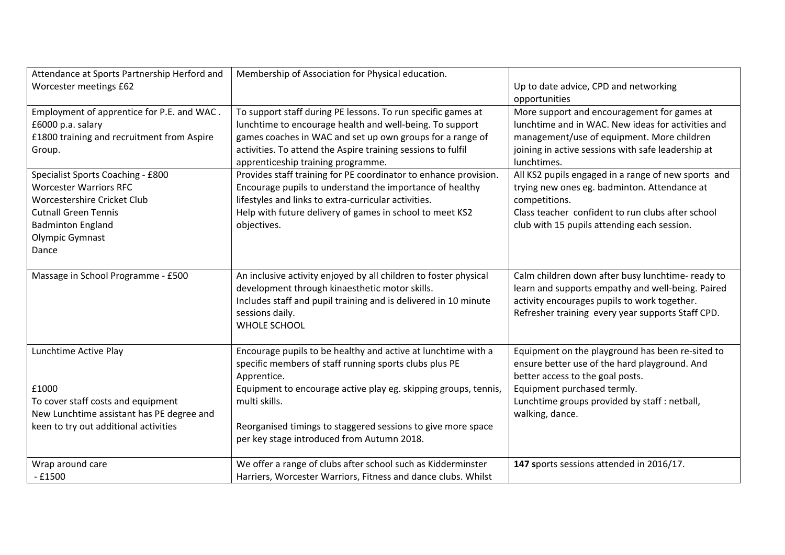| Attendance at Sports Partnership Herford and | Membership of Association for Physical education.                                                                                                                                                                               |                                                                                                                                                                                                             |
|----------------------------------------------|---------------------------------------------------------------------------------------------------------------------------------------------------------------------------------------------------------------------------------|-------------------------------------------------------------------------------------------------------------------------------------------------------------------------------------------------------------|
| Worcester meetings £62                       |                                                                                                                                                                                                                                 | Up to date advice, CPD and networking                                                                                                                                                                       |
|                                              |                                                                                                                                                                                                                                 | opportunities                                                                                                                                                                                               |
| Employment of apprentice for P.E. and WAC.   | To support staff during PE lessons. To run specific games at                                                                                                                                                                    | More support and encouragement for games at                                                                                                                                                                 |
| £6000 p.a. salary                            | lunchtime to encourage health and well-being. To support                                                                                                                                                                        | lunchtime and in WAC. New ideas for activities and                                                                                                                                                          |
| £1800 training and recruitment from Aspire   | games coaches in WAC and set up own groups for a range of                                                                                                                                                                       | management/use of equipment. More children                                                                                                                                                                  |
| Group.                                       | activities. To attend the Aspire training sessions to fulfil                                                                                                                                                                    | joining in active sessions with safe leadership at                                                                                                                                                          |
|                                              | apprenticeship training programme.                                                                                                                                                                                              | lunchtimes.                                                                                                                                                                                                 |
| Specialist Sports Coaching - £800            | Provides staff training for PE coordinator to enhance provision.                                                                                                                                                                | All KS2 pupils engaged in a range of new sports and                                                                                                                                                         |
| <b>Worcester Warriors RFC</b>                | Encourage pupils to understand the importance of healthy                                                                                                                                                                        | trying new ones eg. badminton. Attendance at                                                                                                                                                                |
| Worcestershire Cricket Club                  | lifestyles and links to extra-curricular activities.                                                                                                                                                                            | competitions.                                                                                                                                                                                               |
| <b>Cutnall Green Tennis</b>                  | Help with future delivery of games in school to meet KS2                                                                                                                                                                        | Class teacher confident to run clubs after school                                                                                                                                                           |
| <b>Badminton England</b>                     | objectives.                                                                                                                                                                                                                     | club with 15 pupils attending each session.                                                                                                                                                                 |
| Olympic Gymnast                              |                                                                                                                                                                                                                                 |                                                                                                                                                                                                             |
| Dance                                        |                                                                                                                                                                                                                                 |                                                                                                                                                                                                             |
| Massage in School Programme - £500           | An inclusive activity enjoyed by all children to foster physical<br>development through kinaesthetic motor skills.<br>Includes staff and pupil training and is delivered in 10 minute<br>sessions daily.<br><b>WHOLE SCHOOL</b> | Calm children down after busy lunchtime- ready to<br>learn and supports empathy and well-being. Paired<br>activity encourages pupils to work together.<br>Refresher training every year supports Staff CPD. |
| Lunchtime Active Play                        | Encourage pupils to be healthy and active at lunchtime with a<br>specific members of staff running sports clubs plus PE<br>Apprentice.                                                                                          | Equipment on the playground has been re-sited to<br>ensure better use of the hard playground. And<br>better access to the goal posts.                                                                       |
| £1000                                        | Equipment to encourage active play eg. skipping groups, tennis,                                                                                                                                                                 | Equipment purchased termly.                                                                                                                                                                                 |
| To cover staff costs and equipment           | multi skills.                                                                                                                                                                                                                   | Lunchtime groups provided by staff : netball,                                                                                                                                                               |
| New Lunchtime assistant has PE degree and    |                                                                                                                                                                                                                                 | walking, dance.                                                                                                                                                                                             |
| keen to try out additional activities        | Reorganised timings to staggered sessions to give more space                                                                                                                                                                    |                                                                                                                                                                                                             |
|                                              | per key stage introduced from Autumn 2018.                                                                                                                                                                                      |                                                                                                                                                                                                             |
| Wrap around care                             | We offer a range of clubs after school such as Kidderminster                                                                                                                                                                    | 147 sports sessions attended in 2016/17.                                                                                                                                                                    |
| $-£1500$                                     | Harriers, Worcester Warriors, Fitness and dance clubs. Whilst                                                                                                                                                                   |                                                                                                                                                                                                             |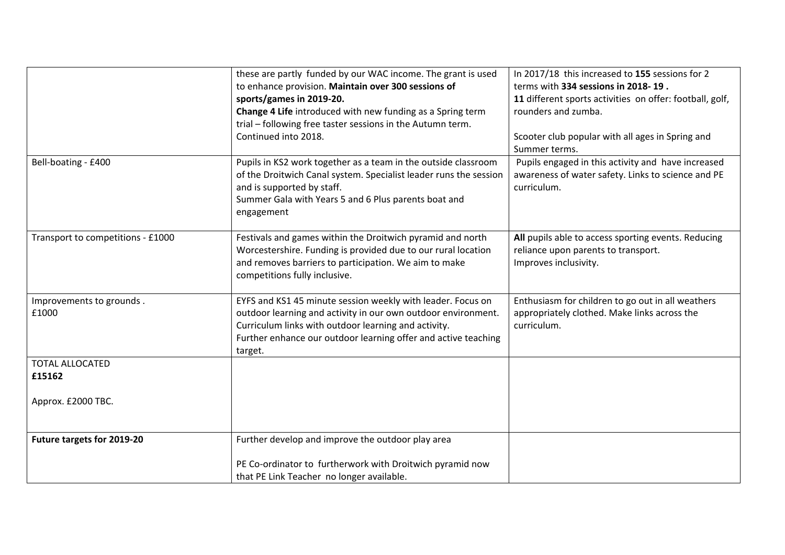|                                   | these are partly funded by our WAC income. The grant is used                                                                                                                                                                            | In 2017/18 this increased to 155 sessions for 2                                                                         |
|-----------------------------------|-----------------------------------------------------------------------------------------------------------------------------------------------------------------------------------------------------------------------------------------|-------------------------------------------------------------------------------------------------------------------------|
|                                   | to enhance provision. Maintain over 300 sessions of                                                                                                                                                                                     | terms with 334 sessions in 2018-19.                                                                                     |
|                                   | sports/games in 2019-20.                                                                                                                                                                                                                | 11 different sports activities on offer: football, golf,                                                                |
|                                   | Change 4 Life introduced with new funding as a Spring term                                                                                                                                                                              | rounders and zumba.                                                                                                     |
|                                   | trial - following free taster sessions in the Autumn term.                                                                                                                                                                              |                                                                                                                         |
|                                   | Continued into 2018.                                                                                                                                                                                                                    | Scooter club popular with all ages in Spring and<br>Summer terms.                                                       |
| Bell-boating - £400               | Pupils in KS2 work together as a team in the outside classroom<br>of the Droitwich Canal system. Specialist leader runs the session<br>and is supported by staff.<br>Summer Gala with Years 5 and 6 Plus parents boat and<br>engagement | Pupils engaged in this activity and have increased<br>awareness of water safety. Links to science and PE<br>curriculum. |
| Transport to competitions - £1000 | Festivals and games within the Droitwich pyramid and north<br>Worcestershire. Funding is provided due to our rural location<br>and removes barriers to participation. We aim to make<br>competitions fully inclusive.                   | All pupils able to access sporting events. Reducing<br>reliance upon parents to transport.<br>Improves inclusivity.     |
| Improvements to grounds.          | EYFS and KS1 45 minute session weekly with leader. Focus on                                                                                                                                                                             | Enthusiasm for children to go out in all weathers                                                                       |
| £1000                             | outdoor learning and activity in our own outdoor environment.                                                                                                                                                                           | appropriately clothed. Make links across the                                                                            |
|                                   | Curriculum links with outdoor learning and activity.                                                                                                                                                                                    | curriculum.                                                                                                             |
|                                   | Further enhance our outdoor learning offer and active teaching                                                                                                                                                                          |                                                                                                                         |
|                                   | target.                                                                                                                                                                                                                                 |                                                                                                                         |
| <b>TOTAL ALLOCATED</b>            |                                                                                                                                                                                                                                         |                                                                                                                         |
| £15162                            |                                                                                                                                                                                                                                         |                                                                                                                         |
|                                   |                                                                                                                                                                                                                                         |                                                                                                                         |
| Approx. £2000 TBC.                |                                                                                                                                                                                                                                         |                                                                                                                         |
|                                   |                                                                                                                                                                                                                                         |                                                                                                                         |
| Future targets for 2019-20        | Further develop and improve the outdoor play area                                                                                                                                                                                       |                                                                                                                         |
|                                   | PE Co-ordinator to furtherwork with Droitwich pyramid now                                                                                                                                                                               |                                                                                                                         |
|                                   | that PE Link Teacher no longer available.                                                                                                                                                                                               |                                                                                                                         |